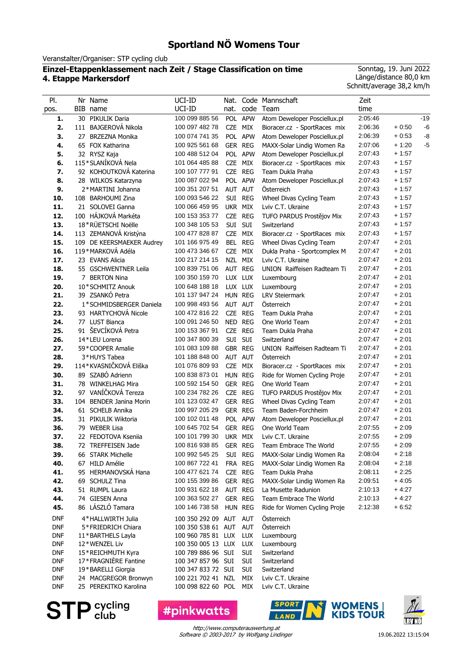# **Sportland NÖ Womens Tour**

Veranstalter/Organiser: STP cycling club

## **Einzel-Etappenklassement nach Zeit / Stage Classification on time 4. Etappe Markersdorf**

Sonntag, 19. Juni 2022 Länge/distance 80,0 km Schnitt/average 38,2 km/h

| PI.<br>pos.              | Nr Name<br>BIB name                       | UCI-ID<br>UCI-ID                         | nat.       | code                     | Nat. Code Mannschaft<br>Team                      | Zeit<br>time       |                    |       |
|--------------------------|-------------------------------------------|------------------------------------------|------------|--------------------------|---------------------------------------------------|--------------------|--------------------|-------|
| 1.                       | 30 PIKULIK Daria                          | 100 099 885 56                           |            | POL APW                  | Atom Deweloper Posciellux.pl                      | 2:05:46            |                    | $-19$ |
| 2.                       | 111 BAJGEROVÁ Nikola                      | 100 097 482 78                           | CZE MIX    |                          | Bioracer.cz - SportRaces mix                      | 2:06:36            | $+0.50$            | $-6$  |
| 3.                       | 27 BRZEZNA Monika                         | 100 074 741 35                           |            | POL APW                  | Atom Deweloper Posciellux.pl                      | 2:06:39            | $+0.53$            | -8    |
| 4.                       | 65 FOX Katharina                          | 100 925 561 68                           | GER REG    |                          | MAXX-Solar Lindig Women Ra                        | 2:07:06            | $+1:20$            | $-5$  |
| 5.                       | 32 RYSZ Kaja                              | 100 488 512 04                           |            | POL APW                  | Atom Deweloper Posciellux.pl                      | 2:07:43            | $+1:57$            |       |
| 6.                       | 115*SLANÍKOVÁ Nela                        | 101 064 485 88                           | CZE MIX    |                          | Bioracer.cz - SportRaces mix                      | 2:07:43            | $+1:57$            |       |
| 7.                       | 92 KOHOUTKOVÁ Katerina                    | 100 107 777 91                           | CZE REG    |                          | Team Dukla Praha                                  | 2:07:43            | $+1:57$            |       |
| 8.                       | 28 WILKOS Katarzyna                       | 100 087 022 94                           |            | POL APW                  | Atom Deweloper Posciellux.pl                      | 2:07:43            | $+1:57$            |       |
| 9.                       | 2*MARTINI Johanna                         | 100 351 207 51                           | AUT AUT    |                          | Osterreich                                        | 2:07:43            | $+1:57$            |       |
| 10.                      | 108 BARHOUMI Zina                         | 100 093 546 22                           |            | SUI REG                  | Wheel Divas Cycling Team                          | 2:07:43            | $+1:57$            |       |
| 11.                      | 21 SOLOVEI Ganna                          | 100 066 459 95                           | UKR MIX    |                          | Lviv C.T. Ukraine                                 | 2:07:43            | $+1:57$            |       |
| 12.                      | 100 HÁJKOVÁ Markéta                       | 100 153 353 77                           | CZE REG    |                          | TUFO PARDUS Prostějov Mix                         | 2:07:43            | $+1:57$            |       |
| 13.                      | 18*RÜETSCHI Noëlle                        | 100 348 105 53                           | SUI SUI    |                          | Switzerland                                       | 2:07:43            | $+1:57$            |       |
| 14.                      | 113 ZEMANOVÁ Kristýna                     | 100 477 828 87                           | CZE MIX    |                          | Bioracer.cz - SportRaces mix                      | 2:07:43            | $+1:57$            |       |
| 15.                      | 109 DE KEERSMAEKER Audrey                 | 101 166 975 49                           |            | BEL REG                  | Wheel Divas Cycling Team                          | 2:07:47            | $+2:01$            |       |
| 16.                      | 119*MARKOVÁ Adéla                         | 100 473 346 67                           | <b>CZE</b> | MIX                      | Dukla Praha - Sportcomplex M                      | 2:07:47            | $+2:01$            |       |
| 17.                      | 23 EVANS Alicia                           | 100 217 214 15                           | NZL MIX    |                          | Lviv C.T. Ukraine                                 | 2:07:47            | $+2:01$            |       |
| 18.                      | 55 GSCHWENTNER Leila                      | 100 839 751 06                           | AUT REG    |                          | UNION Raiffeisen Radteam Ti                       | 2:07:47            | $+2:01$            |       |
| 19.                      | 7 BERTON Nina                             | 100 350 159 70                           | LUX LUX    |                          | Luxembourg                                        | 2:07:47            | $+2:01$            |       |
| 20.                      | 10*SCHMITZ Anouk                          | 100 648 188 18                           | LUX LUX    |                          | Luxembourg                                        | 2:07:47            | $+2:01$            |       |
| 21.                      | 39 ZSANKÓ Petra                           | 101 137 947 24                           | HUN REG    |                          | <b>LRV Steiermark</b>                             | 2:07:47            | $+2:01$            |       |
| 22.                      | 1*SCHMIDSBERGER Daniela                   | 100 998 493 56                           | AUT AUT    |                          | Österreich                                        | 2:07:47            | $+2:01$            |       |
| 23.                      | 93 HARTYCHOVÁ Nicole                      | 100 472 816 22                           | CZE REG    |                          | Team Dukla Praha                                  | 2:07:47            | $+2:01$            |       |
| 24.                      | 77 LUST Bianca                            | 100 091 246 50                           | NED REG    |                          | One World Team                                    | 2:07:47            | $+2:01$            |       |
| 25.                      | 91 ŠEVCÍKOVÁ Petra                        | 100 153 367 91                           | CZE REG    |                          | Team Dukla Praha                                  | 2:07:47            | $+2:01$            |       |
| 26.                      | 14*LEU Lorena                             | 100 347 800 39                           | SUI SUI    |                          | Switzerland                                       | 2:07:47            | $+2:01$            |       |
| 27.                      | 59*COOPER Amalie                          | 101 083 109 88                           | GBR REG    |                          | UNION Raiffeisen Radteam Ti                       | 2:07:47            | $+2:01$            |       |
| 28.                      | 3*HUYS Tabea                              | 101 188 848 00                           | AUT AUT    |                          | Österreich                                        | 2:07:47            | $+2:01$            |       |
| 29.                      | 114*KVASNIČKOVÁ Eliška                    | 101 076 809 93                           | CZE MIX    |                          | Bioracer.cz - SportRaces mix                      | 2:07:47            | $+2:01$            |       |
| 30.                      | 89 SZABÓ Adrienn                          | 100 838 873 01                           | HUN REG    |                          | Ride for Women Cycling Proje                      | 2:07:47            | $+2:01$            |       |
| 31.                      | 78 WINKELHAG Mira                         | 100 592 154 50                           | GER REG    |                          | One World Team                                    | 2:07:47            | $+2:01$            |       |
| 32.                      | 97 VANÍČKOVÁ Tereza                       | 100 234 782 26                           | CZE REG    |                          | TUFO PARDUS Prostějov Mix                         | 2:07:47            | $+2:01$            |       |
| 33.                      | 104 BENDER Janina Morin                   | 101 123 032 47                           | GER REG    |                          | Wheel Divas Cycling Team                          | 2:07:47            | $+2:01$            |       |
| 34.                      | 61 SCHELB Annika                          | 100 997 205 29                           | GER REG    |                          | Team Baden-Forchheim                              | 2:07:47            | $+2:01$            |       |
| 35.                      | 31 PIKULIK Wiktoria                       | 100 102 011 48                           |            | POL APW                  | Atom Deweloper Posciellux.pl                      | 2:07:47<br>2:07:55 | $+2:01$            |       |
| 36.                      | 79 WEBER Lisa                             | 100 645 702 54<br>100 101 799 30         | GER REG    |                          | One World Team                                    | 2:07:55            | $+2:09$<br>$+2:09$ |       |
| 37.                      | 22 FEDOTOVA Kseniia                       |                                          | UKR MIX    |                          | Lviv C.T. Ukraine<br>Team Embrace The World       | 2:07:55            | $+2:09$            |       |
| 38.                      | 72 TREFFEISEN Jade<br>66 STARK Michelle   | 100 816 938 85 GER REG<br>100 992 545 25 |            |                          | MAXX-Solar Lindig Women Ra                        |                    |                    |       |
| 39.                      |                                           |                                          |            | SUI REG                  |                                                   | 2:08:04            | $+2:18$            |       |
| 40.<br>41.               | 67 HILD Amélie<br>95 HERMANOVSKÁ Hana     | 100 867 722 41<br>100 477 621 74         | CZE REG    | FRA REG                  | MAXX-Solar Lindig Women Ra<br>Team Dukla Praha    | 2:08:04<br>2:08:11 | $+2:18$<br>$+2:25$ |       |
| 42.                      |                                           | 100 155 399 86                           | GER REG    |                          |                                                   | 2:09:51            | $+4:05$            |       |
| 43.                      | 69 SCHULZ Tina<br>51 RUMPL Laura          | 100 931 622 18                           | AUT REG    |                          | MAXX-Solar Lindig Women Ra<br>La Musette Radunion | 2:10:13            | $+4:27$            |       |
| 44.                      | 74 GIESEN Anna                            | 100 363 502 27                           | GER REG    |                          | Team Embrace The World                            | 2:10:13            | + 4:27             |       |
| 45.                      | 86 LÁSZLÓ Tamara                          | 100 146 738 58                           | HUN REG    |                          | Ride for Women Cycling Proje                      | 2:12:38            | $+6:52$            |       |
|                          |                                           |                                          |            |                          |                                                   |                    |                    |       |
| <b>DNF</b>               | 4*HALLWIRTH Julia                         | 100 350 292 09 AUT AUT                   |            |                          | Österreich                                        |                    |                    |       |
| <b>DNF</b>               | 5*FRIEDRICH Chiara                        | 100 350 538 61 AUT                       |            | AUT                      | Österreich                                        |                    |                    |       |
| <b>DNF</b>               | 11*BARTHELS Layla                         | 100 960 785 81 LUX                       |            | <b>LUX</b>               | Luxembourg                                        |                    |                    |       |
| <b>DNF</b><br><b>DNF</b> | 12*WENZEL Liv                             | 100 350 005 13 LUX                       |            | <b>LUX</b><br><b>SUI</b> | Luxembourg<br>Switzerland                         |                    |                    |       |
| <b>DNF</b>               | 15*REICHMUTH Kyra<br>17*FRAGNIERE Fantine | 100 789 886 96 SUI<br>100 347 857 96 SUI |            | <b>SUI</b>               | Switzerland                                       |                    |                    |       |
| <b>DNF</b>               | 19*BARELLI Giorgia                        | 100 347 833 72 SUI                       |            | <b>SUI</b>               | Switzerland                                       |                    |                    |       |
| <b>DNF</b>               | 24 MACGREGOR Bronwyn                      | 100 221 702 41 NZL                       |            | MIX                      | Lviv C.T. Ukraine                                 |                    |                    |       |
| <b>DNF</b>               | 25 PEREKITKO Karolina                     | 100 098 822 60 POL                       |            | MIX                      | Lviv C.T. Ukraine                                 |                    |                    |       |



**#pinkwatts** 



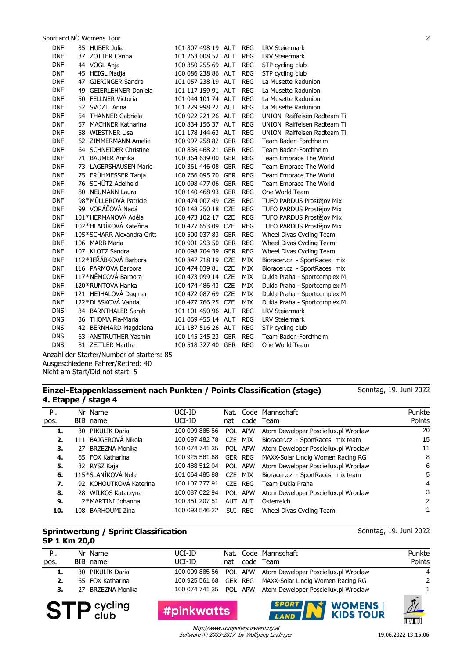Sportland NÖ Womens Tour 2

| <b>DNF</b> | 35 HUBER Julia                   | 101 307 498 19 AUT |            | <b>REG</b> | <b>LRV Steiermark</b>        |
|------------|----------------------------------|--------------------|------------|------------|------------------------------|
| <b>DNF</b> | 37 ZOTTER Carina                 | 101 263 008 52 AUT |            | <b>REG</b> | <b>LRV Steiermark</b>        |
| <b>DNF</b> | 44 VOGL Anja                     | 100 350 255 69 AUT |            | <b>REG</b> | STP cycling club             |
| <b>DNF</b> | 45 HEIGL Nadja                   | 100 086 238 86 AUT |            | <b>REG</b> | STP cycling club             |
| <b>DNF</b> | <b>GIERINGER Sandra</b><br>47    | 101 057 238 19 AUT |            | <b>REG</b> | La Musette Radunion          |
| <b>DNF</b> | 49<br><b>GEIERLEHNER Daniela</b> | 101 117 159 91 AUT |            | <b>REG</b> | La Musette Radunion          |
| <b>DNF</b> | 50 FELLNER Victoria              | 101 044 101 74 AUT |            | <b>REG</b> | La Musette Radunion          |
| <b>DNF</b> | 52<br>SVOZIL Anna                | 101 229 998 22 AUT |            | <b>REG</b> | La Musette Radunion          |
| <b>DNF</b> | 54 THANNER Gabriela              | 100 922 221 26     | <b>AUT</b> | <b>REG</b> | UNION Raiffeisen Radteam Ti  |
| <b>DNF</b> | 57<br><b>MACHNER Katharina</b>   | 100 834 156 37 AUT |            | <b>REG</b> | UNION Raiffeisen Radteam Ti  |
| <b>DNF</b> | 58 WIESTNER Lisa                 | 101 178 144 63 AUT |            | <b>REG</b> | UNION Raiffeisen Radteam Ti  |
| <b>DNF</b> | 62 ZIMMERMANN Amelie             | 100 997 258 82 GER |            | <b>REG</b> | Team Baden-Forchheim         |
| <b>DNF</b> | 64 SCHNEIDER Christine           | 100 836 468 21     | <b>GER</b> | <b>REG</b> | Team Baden-Forchheim         |
| <b>DNF</b> | 71<br><b>BAUMER Annika</b>       | 100 364 639 00     | <b>GER</b> | <b>REG</b> | Team Embrace The World       |
| <b>DNF</b> | LAGERSHAUSEN Marie<br>73         | 100 361 446 08     | <b>GER</b> | <b>REG</b> | Team Embrace The World       |
| <b>DNF</b> | 75 FRÜHMESSER Tanja              | 100 766 095 70     | <b>GER</b> | <b>REG</b> | Team Embrace The World       |
| <b>DNF</b> | 76 SCHÜTZ Adelheid               | 100 098 477 06     | <b>GER</b> | <b>REG</b> | Team Embrace The World       |
| <b>DNF</b> | 80 NEUMANN Laura                 | 100 140 468 93     | <b>GER</b> | <b>REG</b> | One World Team               |
| <b>DNF</b> | 98*MÜLLEROVÁ Patricie            | 100 474 007 49     | <b>CZE</b> | <b>REG</b> | TUFO PARDUS Prostějov Mix    |
| <b>DNF</b> | 99 VORÁČOVÁ Nadá                 | 100 148 250 18     | <b>CZE</b> | <b>REG</b> | TUFO PARDUS Prostějov Mix    |
| <b>DNF</b> | 101 * HERMANOVÁ Adéla            | 100 473 102 17     | <b>CZE</b> | <b>REG</b> | TUFO PARDUS Prostějov Mix    |
| <b>DNF</b> | 102*HLADÍKOVÁ Kateřina           | 100 477 653 09     | <b>CZE</b> | <b>REG</b> | TUFO PARDUS Prostějov Mix    |
| <b>DNF</b> | 105*SCHARR Alexandra Gritt       | 100 500 037 83     | <b>GER</b> | <b>REG</b> | Wheel Divas Cycling Team     |
| <b>DNF</b> | 106 MARB Maria                   | 100 901 293 50     | <b>GER</b> | <b>REG</b> | Wheel Divas Cycling Team     |
| <b>DNF</b> | 107 KLOTZ Sandra                 | 100 098 704 39     | <b>GER</b> | <b>REG</b> | Wheel Divas Cycling Team     |
| <b>DNF</b> | 112*JEŘÁBKOVÁ Barbora            | 100 847 718 19     | <b>CZE</b> | MIX        | Bioracer.cz - SportRaces mix |
| <b>DNF</b> | 116 PARMOVÁ Barbora              | 100 474 039 81     | <b>CZE</b> | MIX        | Bioracer.cz - SportRaces mix |
| <b>DNF</b> | 117*NĚMCOVÁ Barbora              | 100 473 099 14     | <b>CZE</b> | MIX        | Dukla Praha - Sportcomplex M |
| <b>DNF</b> | 120 * RUNTOVÁ Hanka              | 100 474 486 43     | <b>CZE</b> | <b>MIX</b> | Dukla Praha - Sportcomplex M |
| <b>DNF</b> | 121 HEJHALOVÁ Dagmar             | 100 472 087 69     | <b>CZE</b> | <b>MIX</b> | Dukla Praha - Sportcomplex M |
| <b>DNF</b> | 122*DLASKOVÁ Vanda               | 100 477 766 25     | <b>CZE</b> | <b>MIX</b> | Dukla Praha - Sportcomplex M |
| <b>DNS</b> | 34 BÄRNTHALER Sarah              | 101 101 450 96 AUT |            | <b>REG</b> | <b>LRV Steiermark</b>        |
| <b>DNS</b> | 36 THOMA Pia-Maria               | 101 069 455 14 AUT |            | <b>REG</b> | <b>LRV Steiermark</b>        |
| <b>DNS</b> | 42 BERNHARD Magdalena            | 101 187 516 26 AUT |            | <b>REG</b> | STP cycling club             |
| <b>DNS</b> | 63 ANSTRUTHER Yasmin             | 100 145 345 23     | <b>GER</b> | <b>REG</b> | Team Baden-Forchheim         |
| <b>DNS</b> | 81 ZEITLER Martha                | 100 518 327 40 GER |            | <b>REG</b> | One World Team               |
|            |                                  |                    |            |            |                              |

Anzahl der Starter/Number of starters: 85 Ausgeschiedene Fahrer/Retired: 40 Nicht am Start/Did not start: 5

#### **Einzel-Etappenklassement nach Punkten / Points Classification (stage) 4. Etappe / stage 4**

Sonntag, 19. Juni 2022

Sonntag, 19. Juni 2022

| PI.  | Nr Name                | UCI-ID         |            |            | Nat. Code Mannschaft                 | Punkte |
|------|------------------------|----------------|------------|------------|--------------------------------------|--------|
| pos. | BIB name               | UCI-ID         | nat.       |            | code Team                            | Points |
| 1.   | 30 PIKULIK Daria       | 100 099 885 56 |            | POL APW    | Atom Deweloper Posciellux.pl Wrocław | 20     |
| 2.   | 111 BAJGEROVÁ Nikola   | 100 097 482 78 | CZE.       | MIX        | Bioracer.cz - SportRaces mix team    | 15     |
| З.   | 27 BRZEZNA Monika      | 100 074 741 35 |            | POL APW    | Atom Deweloper Posciellux.pl Wrocław | 11     |
| 4.   | 65 FOX Katharina       | 100 925 561 68 |            | GER REG    | MAXX-Solar Lindig Women Racing RG    | 8      |
| 5.   | 32 RYSZ Kaja           | 100 488 512 04 |            | POL APW    | Atom Deweloper Posciellux.pl Wrocław | 6      |
| 6.   | 115*SLANÍKOVÁ Nela     | 101 064 485 88 | CZE        | MIX        | Bioracer.cz - SportRaces mix team    | 5      |
| 7.   | 92 KOHOUTKOVÁ Katerina | 100 107 777 91 | CZE.       | REG        | Team Dukla Praha                     | 4      |
| 8.   | 28 WILKOS Katarzyna    | 100 087 022 94 | POL.       | APW        | Atom Deweloper Posciellux.pl Wrocław | 3      |
| 9.   | 2*MARTINI Johanna      | 100 351 207 51 | <b>AUT</b> | AUT        | Österreich                           | 2      |
| 10.  | 108 BARHOUMI Zina      | 100 093 546 22 | SUI        | <b>REG</b> | Wheel Divas Cycling Team             |        |
|      |                        |                |            |            |                                      |        |

#### **Sprintwertung / Sprint Classification SP 1 Km 20,0**

Nat. Code Mannschaft code Pl. pos. Nr Name BIB name Team nat. Punkte Points UCI-ID UCI-ID **1.** 30 PIKULIK Daria 100 099 885 56 POL APW Atom Deweloper Posciellux.pl Wrocław 4 **2.** 65 FOX Katharina 100 925 561 68 GER REG MAXX-Solar Lindig Women Racing RG 2<br>**3.** 27 BRZEZNA Monika 100 074 741 35 POL APW Atom Deweloper Posciellux.pl Wrocław 1 **3.** 27 BRZEZNA Monika 100 074 741 35 POL APW Atom Deweloper Posciellux.pl Wrocław 1





**IRVNÖ** 

Software © 2003-2017 by Wolfgang Lindinger http://www.computerauswertung.at

#pinkwatts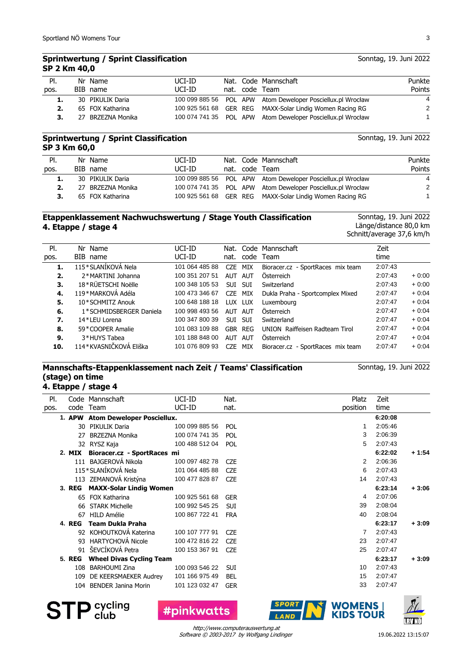# **Sprintwertung / Sprint Classification SP 2 Km 40,0**

|  | UCI-ID                                                                           |  | Punkte                                                                                                                                                                                                                           |
|--|----------------------------------------------------------------------------------|--|----------------------------------------------------------------------------------------------------------------------------------------------------------------------------------------------------------------------------------|
|  | UCI-ID                                                                           |  | Points                                                                                                                                                                                                                           |
|  |                                                                                  |  | 4                                                                                                                                                                                                                                |
|  |                                                                                  |  | 2                                                                                                                                                                                                                                |
|  |                                                                                  |  |                                                                                                                                                                                                                                  |
|  | Nr Name<br>BIB name<br>30 PIKULIK Daria<br>65 FOX Katharina<br>27 BRZEZNA Monika |  | Nat. Code Mannschaft<br>nat. code Team<br>100 099 885 56 POL APW Atom Deweloper Posciellux.pl Wrocław<br>100 925 561 68 GER REG MAXX-Solar Lindig Women Racing RG<br>100 074 741 35 POL APW Atom Deweloper Posciellux.pl Wrocław |

# **Sprintwertung / Sprint Classification SP 3 Km 60,0**

Nat. Code Mannschaft nat. code Team Pl. pos. Nr Name BIB name Punkte Points UCI-ID UCI-ID **1.** 30 PIKULIK Daria 100 099 885 56 POL APW Atom Deweloper Posciellux.pl Wrocław 4 **2.** 27 BRZEZNA Monika 100 074 741 35 POL APW Atom Deweloper Posciellux.pl Wrocław 2 **3.** 65 FOX Katharina 100 925 561 68 GER REG MAXX-Solar Lindig Women Racing RG 1

# **Etappenklassement Nachwuchswertung / Stage Youth Classification 4. Etappe / stage 4**

Sonntag, 19. Juni 2022 Länge/distance 80,0 km Schnitt/average 37,6 km/h

Sonntag, 19. Juni 2022

| PI.  | Nr Name                 | UCI-ID         |            |            | Nat. Code Mannschaft              | Zeit    |         |
|------|-------------------------|----------------|------------|------------|-----------------------------------|---------|---------|
| pos. | BIB name                | UCI-ID         |            |            | nat. code Team                    | time    |         |
| 1.   | 115*SLANÍKOVÁ Nela      | 101 064 485 88 | <b>CZE</b> | MIX        | Bioracer.cz - SportRaces mix team | 2:07:43 |         |
| 2.   | 2*MARTINI Johanna       | 100 351 207 51 | AUT        | AUT        | Österreich                        | 2:07:43 | $+0:00$ |
| З.   | 18*RÜETSCHI Noëlle      | 100 348 105 53 | <b>SUI</b> | SUI        | Switzerland                       | 2:07:43 | $+0:00$ |
| 4.   | 119*MARKOVÁ Adéla       | 100 473 346 67 | CZE MIX    |            | Dukla Praha - Sportcomplex Mixed  | 2:07:47 | $+0.04$ |
| 5.   | 10*SCHMITZ Anouk        | 100 648 188 18 | LUX LUX    |            | Luxembourg                        | 2:07:47 | $+0.04$ |
| 6.   | 1*SCHMIDSBERGER Daniela | 100 998 493 56 | AUT        | AUT        | Österreich                        | 2:07:47 | $+0.04$ |
| 7.   | 14*LEU Lorena           | 100 347 800 39 | <b>SUI</b> | <b>SUI</b> | Switzerland                       | 2:07:47 | $+0.04$ |
| 8.   | 59 * COOPER Amalie      | 101 083 109 88 | GBR        | REG        | UNION Raiffeisen Radteam Tirol    | 2:07:47 | $+0.04$ |
| 9.   | 3*HUYS Tabea            | 101 188 848 00 | <b>AUT</b> | <b>AUT</b> | Österreich                        | 2:07:47 | $+0.04$ |
| 10.  | 114*KVASNIČKOVÁ Eliška  | 101 076 809 93 | CZE.       | MIX        | Bioracer.cz - SportRaces mix team | 2:07:47 | $+0.04$ |

# **Mannschafts-Etappenklassement nach Zeit / Teams' Classification (stage) on time**

**4. Etappe / stage 4**

| PI.  |               | Code Mannschaft                   | UCI-ID         | Nat.       | Platz    | Zeit    |         |
|------|---------------|-----------------------------------|----------------|------------|----------|---------|---------|
| pos. | code          | Team                              | UCI-ID         | nat.       | position | time    |         |
|      | 1. APW        | <b>Atom Deweloper Posciellux.</b> |                |            |          | 6:20:08 |         |
|      | 30            | PIKULIK Daria                     | 100 099 885 56 | <b>POL</b> |          | 2:05:46 |         |
|      | 27            | <b>BRZEZNA Monika</b>             | 100 074 741 35 | POL        | 3        | 2:06:39 |         |
|      |               | 32 RYSZ Kaja                      | 100 488 512 04 | POL        | 5        | 2:07:43 |         |
|      | 2. MIX        | Bioracer.cz - SportRaces mi       |                |            |          | 6:22:02 | $+1:54$ |
|      |               | 111 BAJGEROVÁ Nikola              | 100 097 482 78 | <b>CZE</b> | 2        | 2:06:36 |         |
|      |               | 115*SLANÍKOVÁ Nela                | 101 064 485 88 | <b>CZE</b> | 6        | 2:07:43 |         |
|      |               | 113 ZEMANOVÁ Kristýna             | 100 477 828 87 | <b>CZE</b> | 14       | 2:07:43 |         |
|      | 3. REG        | <b>MAXX-Solar Lindig Women</b>    |                |            |          | 6:23:14 | $+3:06$ |
|      | 65            | <b>FOX Katharina</b>              | 100 925 561 68 | <b>GER</b> | 4        | 2:07:06 |         |
|      | 66            | <b>STARK Michelle</b>             | 100 992 545 25 | <b>SUI</b> | 39       | 2:08:04 |         |
|      | 67            | <b>HILD Amélie</b>                | 100 867 722 41 | <b>FRA</b> | 40       | 2:08:04 |         |
|      | <b>4. REG</b> | <b>Team Dukla Praha</b>           |                |            |          | 6:23:17 | $+3:09$ |
|      |               | 92 KOHOUTKOVÁ Katerina            | 100 107 777 91 | <b>CZE</b> | 7        | 2:07:43 |         |
|      | 93            | <b>HARTYCHOVÁ Nicole</b>          | 100 472 816 22 | <b>CZE</b> | 23       | 2:07:47 |         |
|      |               | 91 ŠEVCÍKOVÁ Petra                | 100 153 367 91 | <b>CZE</b> | 25       | 2:07:47 |         |
|      | <b>5. REG</b> | <b>Wheel Divas Cycling Team</b>   |                |            |          | 6:23:17 | $+3:09$ |
|      | 108           | <b>BARHOUMI Zina</b>              | 100 093 546 22 | <b>SUI</b> | 10       | 2:07:43 |         |
|      | 109           | DE KEERSMAEKER Audrey             | 101 166 975 49 | <b>BEL</b> | 15       | 2:07:47 |         |
|      | 104           | <b>BENDER Janina Morin</b>        | 101 123 032 47 | <b>GER</b> | 33       | 2:07:47 |         |
|      |               |                                   |                |            |          |         |         |







Software © 2003-2017 by Wolfgang Lindinger http://www.computerauswertung.at

Sonntag, 19. Juni 2022

<u>Lrv Nö</u>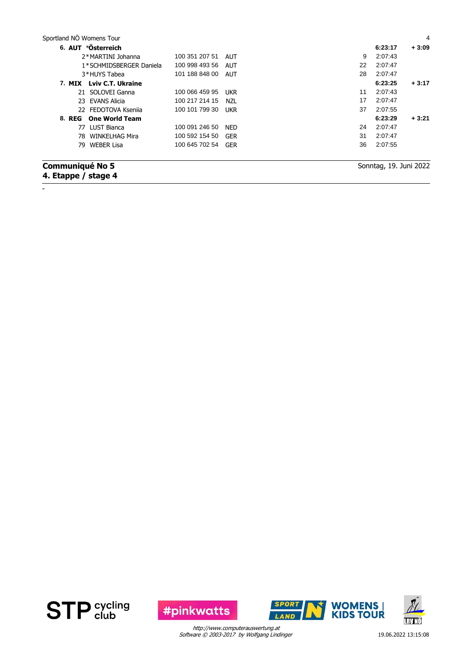| Sportland NÖ Womens Tour                      |                |            |    |                        | 4       |
|-----------------------------------------------|----------------|------------|----|------------------------|---------|
| 6. AUT *Österreich                            |                |            |    | 6:23:17                | $+3:09$ |
| 2*MARTINI Johanna                             | 100 351 207 51 | AUT        | 9  | 2:07:43                |         |
| 1*SCHMIDSBERGER Daniela                       | 100 998 493 56 | AUT        | 22 | 2:07:47                |         |
| 3*HUYS Tabea                                  | 101 188 848 00 | AUT        | 28 | 2:07:47                |         |
| 7. MIX Lviv C.T. Ukraine                      |                |            |    | 6:23:25                | $+3:17$ |
| 21 SOLOVEI Ganna                              | 100 066 459 95 | <b>UKR</b> | 11 | 2:07:43                |         |
| 23 EVANS Alicia                               | 100 217 214 15 | NZL        | 17 | 2:07:47                |         |
| 22 FEDOTOVA Ksenija                           | 100 101 799 30 | <b>UKR</b> | 37 | 2:07:55                |         |
| 8. REG One World Team                         |                |            |    | 6:23:29                | $+3:21$ |
| 77 LUST Bianca                                | 100 091 246 50 | <b>NED</b> | 24 | 2:07:47                |         |
| <b>WINKELHAG Mira</b><br>78.                  | 100 592 154 50 | GER        | 31 | 2:07:47                |         |
| <b>WEBER Lisa</b><br>79.                      | 100 645 702 54 | <b>GER</b> | 36 | 2:07:55                |         |
| <b>Communiqué No 5</b><br>4. Etappe / stage 4 |                |            |    | Sonntag, 19. Juni 2022 |         |



-



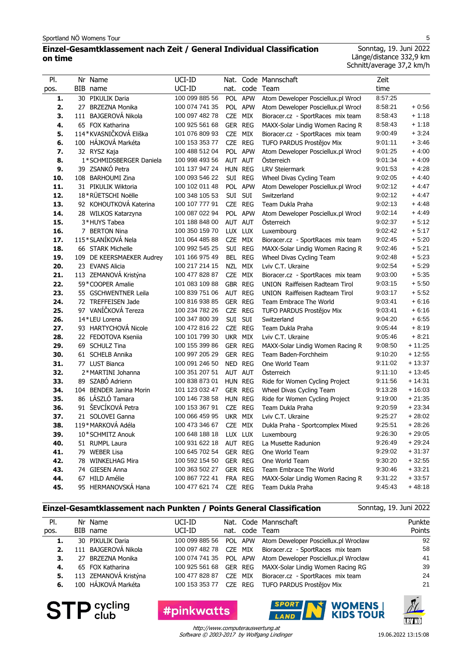# **Einzel-Gesamtklassement nach Zeit / General Individual Classification on time**

Sonntag, 19. Juni 2022 Länge/distance 332,9 km Schnitt/average 37,2 km/h

| PI.        | Nr Name                            | UCI-ID                           | Nat.               |            | Code Mannschaft                                          | Zeit               |                    |
|------------|------------------------------------|----------------------------------|--------------------|------------|----------------------------------------------------------|--------------------|--------------------|
| pos.       | BIB name                           | UCI-ID                           | nat.               |            | code Team                                                | time               |                    |
| 1.         | 30 PIKULIK Daria                   | 100 099 885 56                   | <b>POL</b>         | <b>APW</b> | Atom Deweloper Posciellux.pl Wrocł                       | 8:57:25            |                    |
| 2.         | 27 BRZEZNA Monika                  | 100 074 741 35                   |                    | POL APW    | Atom Deweloper Posciellux.pl Wrocł                       | 8:58:21            | $+0.56$            |
| 3.         | 111 BAJGEROVÁ Nikola               | 100 097 482 78                   | <b>CZE</b>         | MIX        | Bioracer.cz - SportRaces mix team                        | 8:58:43            | $+1:18$            |
| 4.         | 65 FOX Katharina                   | 100 925 561 68                   | GER REG            |            | MAXX-Solar Lindig Women Racing R                         | 8:58:43            | $+1:18$            |
| 5.         | 114*KVASNIČKOVÁ Eliška             | 101 076 809 93                   | CZE                | MIX        | Bioracer.cz - SportRaces mix team                        | 9:00:49            | $+3:24$            |
| 6.         | 100 HÁJKOVÁ Markéta                | 100 153 353 77                   | CZE REG            |            | TUFO PARDUS Prostějov Mix                                | 9:01:11            | $+3:46$            |
| 7.         | 32 RYSZ Kaja                       | 100 488 512 04                   |                    | POL APW    | Atom Deweloper Posciellux.pl Wrocł                       | 9:01:25            | $+4:00$            |
| 8.         | 1*SCHMIDSBERGER Daniela            | 100 998 493 56                   | AUT AUT            |            | Österreich                                               | 9:01:34            | $+4:09$            |
| 9.         | 39 ZSANKÓ Petra                    | 101 137 947 24                   | HUN REG            |            | <b>LRV Steiermark</b>                                    | 9:01:53            | $+4:28$            |
| 10.        | 108 BARHOUMI Zina                  | 100 093 546 22                   |                    | SUI REG    | Wheel Divas Cycling Team                                 | 9:02:05            | $+4:40$            |
| 11.        | 31 PIKULIK Wiktoria                | 100 102 011 48                   |                    | POL APW    | Atom Deweloper Posciellux.pl Wrocł                       | 9:02:12            | $+4.47$            |
| 12.        | 18*RÜETSCHI Noëlle                 | 100 348 105 53                   | SUI SUI            |            | Switzerland                                              | 9:02:12            | $+4.47$            |
| 13.        | 92 KOHOUTKOVÁ Katerina             | 100 107 777 91                   | <b>CZE</b>         | <b>REG</b> | Team Dukla Praha                                         | 9:02:13            | $+4.48$            |
| 14.        | 28 WILKOS Katarzyna                | 100 087 022 94                   |                    | POL APW    | Atom Deweloper Posciellux.pl Wrocł                       | 9:02:14            | $+4.49$            |
| 15.        | 3*HUYS Tabea                       | 101 188 848 00                   | AUT AUT            |            | Österreich                                               | 9:02:37            | $+5:12$            |
| 16.        | 7 BERTON Nina                      | 100 350 159 70                   | LUX LUX            |            | Luxembourg                                               | 9:02:42            | $+5:17$            |
| 17.        | 115*SLANÍKOVÁ Nela                 | 101 064 485 88                   | <b>CZE</b>         | MIX        | Bioracer.cz - SportRaces mix team                        | 9:02:45            | $+5:20$            |
| 18.        | 66 STARK Michelle                  | 100 992 545 25                   | SUI                | <b>REG</b> | MAXX-Solar Lindig Women Racing R                         | 9:02:46            | $+5:21$            |
| 19.        | 109 DE KEERSMAEKER Audrey          | 101 166 975 49                   |                    | BEL REG    | Wheel Divas Cycling Team                                 | 9:02:48            | $+5:23$            |
| 20.        | 23 EVANS Alicia                    | 100 217 214 15                   | <b>NZL</b>         | <b>MIX</b> | Lviv C.T. Ukraine                                        | 9:02:54            | $+5:29$            |
| 21.        | 113 ZEMANOVÁ Kristýna              | 100 477 828 87                   | <b>CZE</b>         | MIX        | Bioracer.cz - SportRaces mix team                        | 9:03:00            | $+5:35$            |
| 22.        | 59*COOPER Amalie                   | 101 083 109 88                   | GBR REG            |            | UNION Raiffeisen Radteam Tirol                           | 9:03:15            | $+5:50$            |
| 23.        | 55 GSCHWENTNER Leila               | 100 839 751 06                   | AUT REG            |            | UNION Raiffeisen Radteam Tirol                           | 9:03:17            | $+5:52$            |
| 24.        | 72 TREFFEISEN Jade                 | 100 816 938 85                   | GER REG            |            | Team Embrace The World                                   | 9:03:41            | $+6:16$            |
| 25.        | 97 VANÍČKOVÁ Tereza                | 100 234 782 26                   | CZE REG            |            | TUFO PARDUS Prostějov Mix                                | 9:03:41            | $+6:16$            |
| 26.        | 14*LEU Lorena                      | 100 347 800 39                   | SUI                | SUI        | Switzerland                                              | 9:04:20            | $+6:55$            |
| 27.        | 93 HARTYCHOVÁ Nicole               | 100 472 816 22                   | CZE REG            |            | Team Dukla Praha                                         | 9:05:44<br>9:05:46 | $+8:19$<br>$+8:21$ |
| 28.        | 22 FEDOTOVA Kseniia                | 100 101 799 30                   | UKR MIX            |            | Lviv C.T. Ukraine                                        |                    | $+11:25$           |
| 29.<br>30. | 69 SCHULZ Tina<br>61 SCHELB Annika | 100 155 399 86<br>100 997 205 29 | GER REG<br>GER REG |            | MAXX-Solar Lindig Women Racing R<br>Team Baden-Forchheim | 9:08:50<br>9:10:20 | $+12:55$           |
| 31.        | 77 LUST Bianca                     | 100 091 246 50                   | NED REG            |            | One World Team                                           | 9:11:02            | $+13:37$           |
| 32.        | 2*MARTINI Johanna                  | 100 351 207 51                   | AUT AUT            |            | Osterreich                                               | 9:11:10            | $+13:45$           |
| 33.        | 89 SZABÓ Adrienn                   | 100 838 873 01                   | HUN REG            |            | Ride for Women Cycling Project                           | 9:11:56            | $+14:31$           |
| 34.        | 104 BENDER Janina Morin            | 101 123 032 47                   | GER REG            |            | Wheel Divas Cycling Team                                 | 9:13:28            | $+16:03$           |
| 35.        | 86 LÁSZLÓ Tamara                   | 100 146 738 58                   | HUN REG            |            | Ride for Women Cycling Project                           | 9:19:00            | $+21:35$           |
| 36.        | 91 ŠEVCÍKOVÁ Petra                 | 100 153 367 91                   | <b>CZE</b>         | <b>REG</b> | Team Dukla Praha                                         | 9:20:59            | $+23:34$           |
| 37.        | 21 SOLOVEI Ganna                   | 100 066 459 95                   | UKR MIX            |            | Lviv C.T. Ukraine                                        | 9:25:27            | $+28:02$           |
| 38.        | 119*MARKOVÁ Adéla                  | 100 473 346 67                   | CZE MIX            |            | Dukla Praha - Sportcomplex Mixed                         | 9:25:51            | $+28:26$           |
| 39.        | 10*SCHMITZ Anouk                   | 100 648 188 18                   | LUX LUX            |            | Luxembourg                                               | 9:26:30            | $+29:05$           |
| 40.        | 51 RUMPL Laura                     | 100 931 622 18                   | AUT REG            |            | La Musette Radunion                                      | 9:26:49            | $+29:24$           |
| 41.        | 79 WEBER Lisa                      | 100 645 702 54                   | GER REG            |            | One World Team                                           | 9:29:02            | $+31:37$           |
| 42.        | 78 WINKELHAG Mira                  | 100 592 154 50                   | GER REG            |            | One World Team                                           | 9:30:20            | $+32:55$           |
| 43.        | 74 GIESEN Anna                     | 100 363 502 27                   |                    | GER REG    | Team Embrace The World                                   | 9:30:46            | $+33:21$           |
| 44.        | 67 HILD Amélie                     | 100 867 722 41                   |                    | FRA REG    | MAXX-Solar Lindig Women Racing R                         | 9:31:22            | $+33:57$           |
| 45.        | 95 HERMANOVSKÁ Hana                | 100 477 621 74                   |                    | CZE REG    | Team Dukla Praha                                         | 9:45:43            | $+48:18$           |

## **Einzel-Gesamtklassement nach Punkten / Points General Classification**

Sonntag, 19. Juni 2022

| PI.  | Nr Name               | UCI-ID         |  | Nat. Code Mannschaft                                        | Punkte |
|------|-----------------------|----------------|--|-------------------------------------------------------------|--------|
| pos. | BIB name              | UCI-ID         |  | nat. code Team                                              | Points |
| 1.   | 30 PIKULIK Daria      |                |  | 100 099 885 56 POL APW Atom Deweloper Posciellux.pl Wrocław | 92     |
| 2.   | 111 BAJGEROVÁ Nikola  |                |  | 100 097 482 78 CZE MIX Bioracer.cz - SportRaces mix team    | 58     |
| 3.   | 27 BRZEZNA Monika     |                |  | 100 074 741 35 POL APW Atom Deweloper Posciellux.pl Wrocław | 41     |
| 4.   | 65 FOX Katharina      |                |  | 100 925 561 68 GER REG MAXX-Solar Lindig Women Racing RG    | 39     |
| 5.   | 113 ZEMANOVÁ Kristýna | 100 477 828 87 |  | CZE MIX Bioracer.cz - SportRaces mix team                   | 24     |
| 6.   | 100 HÁJKOVÁ Markéta   |                |  | 100 153 353 77 CZE REG TUFO PARDUS Prostějov Mix            | 21     |



**#pinkwatts** 



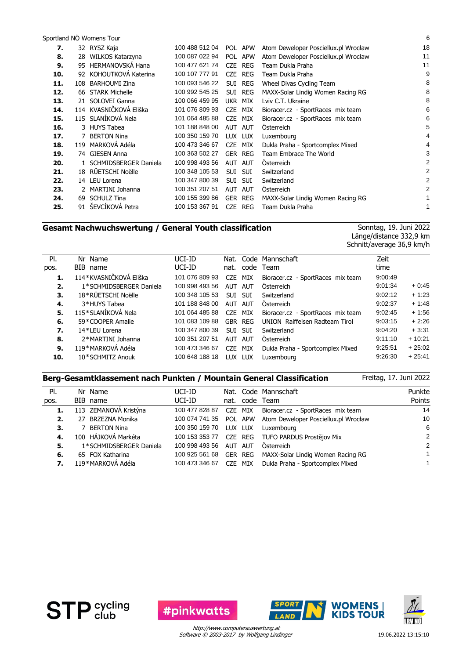Sportland NÖ Womens Tour 6

| 7.  |     | 32 RYSZ Kaja            | 100 488 512 04 |            | POL APW    | Atom Deweloper Posciellux.pl Wrocław | 18 |
|-----|-----|-------------------------|----------------|------------|------------|--------------------------------------|----|
| 8.  | 28. | WILKOS Katarzyna        | 100 087 022 94 |            | POL APW    | Atom Deweloper Posciellux.pl Wrocław | 11 |
| 9.  | 95  | <b>HERMANOVSKÁ Hana</b> | 100 477 621 74 | CZE        | <b>REG</b> | Team Dukla Praha                     | 11 |
| 10. |     | 92 KOHOUTKOVÁ Katerina  | 100 107 777 91 | CZE        | <b>REG</b> | Team Dukla Praha                     | 9  |
| 11. | 108 | <b>BARHOUMI Zina</b>    | 100 093 546 22 | SUI        | REG        | Wheel Divas Cycling Team             | 8  |
| 12. | 66  | <b>STARK Michelle</b>   | 100 992 545 25 |            | SUI REG    | MAXX-Solar Lindig Women Racing RG    | 8  |
| 13. |     | 21 SOLOVEI Ganna        | 100 066 459 95 |            | UKR MIX    | Lviv C.T. Ukraine                    | 8  |
| 14. |     | 114 KVASNIČKOVÁ Eliška  | 101 076 809 93 | CZE        | MIX        | Bioracer.cz - SportRaces mix team    | 6  |
| 15. |     | 115 SLANÍKOVÁ Nela      | 101 064 485 88 | <b>CZE</b> | MIX        | Bioracer.cz - SportRaces mix team    | 6  |
| 16. |     | 3 HUYS Tabea            | 101 188 848 00 |            | AUT AUT    | <b>Osterreich</b>                    | 5  |
| 17. |     | 7 BERTON Nina           | 100 350 159 70 |            | LUX LUX    | Luxembourg                           | 4  |
| 18. |     | 119 MARKOVÁ Adéla       | 100 473 346 67 | <b>CZE</b> | MIX        | Dukla Praha - Sportcomplex Mixed     | 4  |
| 19. |     | 74 GIESEN Anna          | 100 363 502 27 |            | GER REG    | Team Embrace The World               | 3  |
| 20. |     | 1 SCHMIDSBERGER Daniela | 100 998 493 56 |            | AUT AUT    | Osterreich                           | 2  |
| 21. |     | 18 RÜETSCHI Noëlle      | 100 348 105 53 | <b>SUI</b> | <b>SUI</b> | Switzerland                          | 2  |
| 22. |     | 14 LEU Lorena           | 100 347 800 39 | <b>SUI</b> | <b>SUI</b> | Switzerland                          | 2  |
| 23. |     | 2 MARTINI Johanna       | 100 351 207 51 | <b>AUT</b> | <b>AUT</b> | <b>Osterreich</b>                    | 2  |
| 24. | 69  | <b>SCHULZ Tina</b>      | 100 155 399 86 |            | GER REG    | MAXX-Solar Lindig Women Racing RG    |    |
| 25. | 91  | ŠEVCÍKOVÁ Petra         | 100 153 367 91 | <b>CZE</b> | <b>REG</b> | Team Dukla Praha                     | 1  |
|     |     |                         |                |            |            |                                      |    |

# **Gesamt Nachwuchswertung / General Youth classification**

Sonntag, 19. Juni 2022 Länge/distance 332,9 km Schnitt/average 36,9 km/h

| PI.  | Nr Name                 | UCI-ID         |            |            | Nat. Code Mannschaft                  | Zeit    |          |
|------|-------------------------|----------------|------------|------------|---------------------------------------|---------|----------|
| pos. | BIB name                | UCI-ID         |            |            | nat. code Team                        | time    |          |
| 1.   | 114*KVASNIČKOVÁ Eliška  | 101 076 809 93 | <b>CZE</b> | MIX        | Bioracer.cz - SportRaces mix team     | 9:00:49 |          |
| 2.   | 1*SCHMIDSBERGER Daniela | 100 998 493 56 | AUT        | AUT        | Österreich                            | 9:01:34 | $+0:45$  |
| 3.   | 18*RÜETSCHI Noëlle      | 100 348 105 53 | <b>SUI</b> | <b>SUI</b> | Switzerland                           | 9:02:12 | $+1:23$  |
| 4.   | 3*HUYS Tabea            | 101 188 848 00 | AUT AUT    |            | Österreich                            | 9:02:37 | $+1:48$  |
| 5.   | 115*SLANÍKOVÁ Nela      | 101 064 485 88 | CZE MIX    |            | Bioracer.cz - SportRaces mix team     | 9:02:45 | $+1:56$  |
| 6.   | 59*COOPER Amalie        | 101 083 109 88 |            | GBR REG    | <b>UNION</b> Raiffeisen Radteam Tirol | 9:03:15 | $+2:26$  |
| 7.   | 14*LEU Lorena           | 100 347 800 39 | <b>SUI</b> | <b>SUI</b> | Switzerland                           | 9:04:20 | $+3:31$  |
| 8.   | 2*MARTINI Johanna       | 100 351 207 51 | <b>AUT</b> | AUT        | Österreich                            | 9:11:10 | $+10:21$ |
| 9.   | 119*MARKOVÁ Adéla       | 100 473 346 67 | <b>CZE</b> | MIX        | Dukla Praha - Sportcomplex Mixed      | 9:25:51 | $+25:02$ |
| 10.  | 10*SCHMITZ Anouk        | 100 648 188 18 | TUX        | LUX        | Luxembourg                            | 9:26:30 | $+25:41$ |

## **Berg-Gesamtklassement nach Punkten / Mountain General Classification**

Freitag, 17. Juni 2022

| PI.  | Nr Name                 | UCI-ID         |            |         | Nat. Code Mannschaft                 | Punkte        |
|------|-------------------------|----------------|------------|---------|--------------------------------------|---------------|
| pos. | BIB name                | UCI-ID         |            |         | nat. code Team                       | Points        |
| 1.   | 113 ZEMANOVÁ Kristýna   | 100 477 828 87 | <b>CZE</b> | MIX     | Bioracer.cz - SportRaces mix team    | 14            |
| 2.   | 27 BRZEZNA Monika       | 100 074 741 35 |            | POL APW | Atom Deweloper Posciellux.pl Wrocław | 10            |
| З.   | 7 BERTON Nina           | 100 350 159 70 | LUX LUX    |         | Luxembourg                           | 6             |
| 4.   | 100 HÁJKOVÁ Markéta     | 100 153 353 77 |            |         | CZE REG TUFO PARDUS Prostějov Mix    | $\mathcal{P}$ |
| 5.   | 1*SCHMIDSBERGER Daniela | 100 998 493 56 | AUT AUT    |         | Österreich                           | $\mathcal{P}$ |
| 6.   | 65 FOX Katharina        | 100 925 561 68 |            | GER REG | MAXX-Solar Lindig Women Racing RG    | 1             |
| 7.   | 119*MARKOVÁ Adéla       | 100 473 346 67 | CZE.       | MIX     | Dukla Praha - Sportcomplex Mixed     |               |